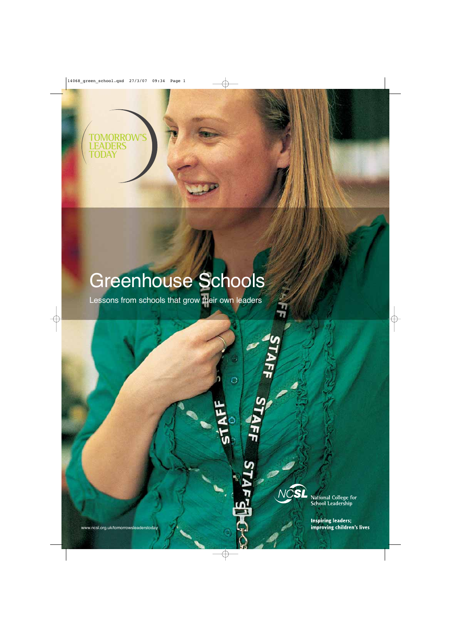**TOMORROW'S LEADERS TODAY**

# Greenhouse Schools

Lessons from schools that grow their own leaders

 $\circ$ 

TAFF



National College for<br>School Leadership

**Inspiring leaders;** improving children's lives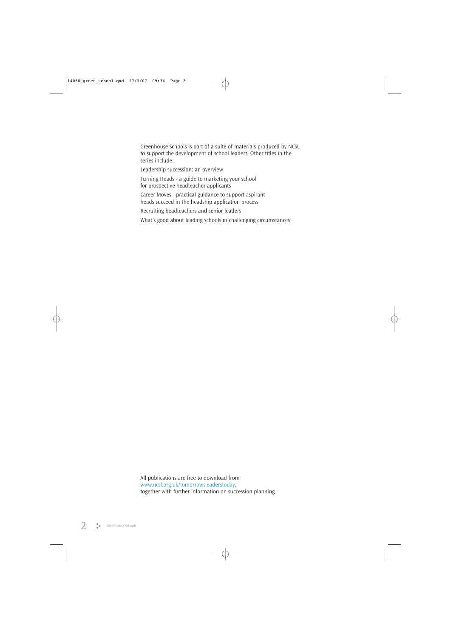Greenhouse Schools is part of a suite of materials produced by NCSL to support the development of school leaders. Other titles in the series include:

Leadership succession: an overview

Turning Heads - a guide to marketing your school for prospective headteacher applicants

Career Moves - practical guidance to support aspirant heads succeed in the headship application process

Recruiting headteachers and senior leaders

What's good about leading schools in challenging circumstances

All publications are free to download from www.ncsl.org.uk/tomorrowsleaderstoday, together with further information on succession planning.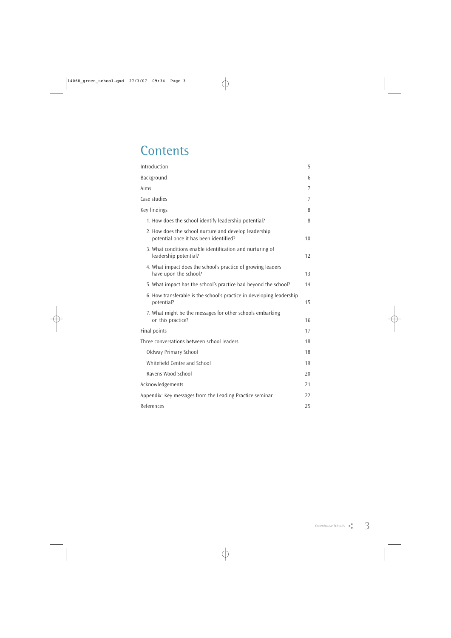### **Contents**

| Introduction                                                                                    | 5  |
|-------------------------------------------------------------------------------------------------|----|
| Background                                                                                      | 6  |
| Aims                                                                                            | 7  |
| Case studies                                                                                    | 7  |
| Key findings                                                                                    | 8  |
| 1. How does the school identify leadership potential?                                           | 8  |
| 2. How does the school nurture and develop leadership<br>potential once it has been identified? | 10 |
| 3. What conditions enable identification and nurturing of<br>leadership potential?              | 12 |
| 4. What impact does the school's practice of growing leaders<br>have upon the school?           | 13 |
| 5. What impact has the school's practice had beyond the school?                                 | 14 |
| 6. How transferable is the school's practice in developing leadership<br>potential?             | 15 |
| 7. What might be the messages for other schools embarking<br>on this practice?                  | 16 |
| Final points                                                                                    | 17 |
| Three conversations between school leaders                                                      | 18 |
| <b>Oldway Primary School</b>                                                                    | 18 |
| Whitefield Centre and School                                                                    | 19 |
| Ravens Wood School                                                                              | 20 |
| Acknowledgements                                                                                | 21 |
| Appendix: Key messages from the Leading Practice seminar                                        | 22 |
| References                                                                                      | 25 |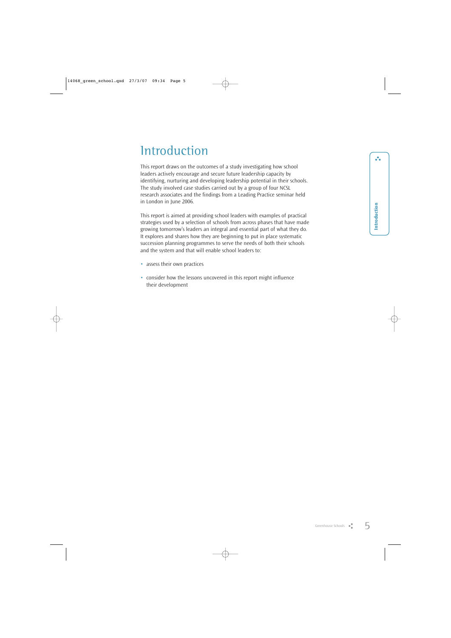### **Introduction**

This report draws on the outcomes of a study investigating how school leaders actively encourage and secure future leadership capacity by identifying, nurturing and developing leadership potential in their schools. The study involved case studies carried out by a group of four NCSL research associates and the findings from a Leading Practice seminar held in London in June 2006.

This report is aimed at providing school leaders with examples of practical strategies used by a selection of schools from across phases that have made growing tomorrow's leaders an integral and essential part of what they do. It explores and shares how they are beginning to put in place systematic succession planning programmes to serve the needs of both their schools and the system and that will enable school leaders to:

- assess their own practices
- consider how the lessons uncovered in this report might influence their development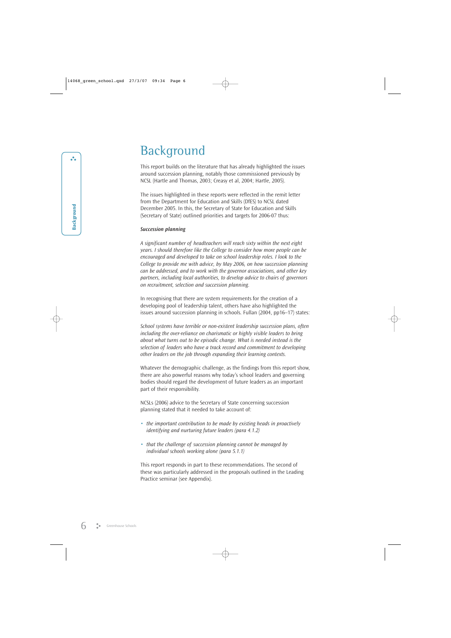### **Background**

This report builds on the literature that has already highlighted the issues around succession planning, notably those commissioned previously by NCSL (Hartle and Thomas, 2003; Creasy et al, 2004; Hartle, 2005).

The issues highlighted in these reports were reflected in the remit letter from the Department for Education and Skills (DfES) to NCSL dated December 2005. In this, the Secretary of State for Education and Skills (Secretary of State) outlined priorities and targets for 2006-07 thus:

#### *Succession planning*

*A significant number of headteachers will reach sixty within the next eight years. I should therefore like the College to consider how more people can be encouraged and developed to take on school leadership roles. I look to the College to provide me with advice, by May 2006, on how succession planning can be addressed, and to work with the governor associations, and other key partners, including local authorities, to develop advice to chairs of governors on recruitment, selection and succession planning.*

In recognising that there are system requirements for the creation of a developing pool of leadership talent, others have also highlighted the issues around succession planning in schools. Fullan (2004, pp16–17) states:

*School systems have terrible or non-existent leadership succession plans, often including the over-reliance on charismatic or highly visible leaders to bring about what turns out to be episodic change. What is needed instead is the selection of leaders who have a track record and commitment to developing other leaders on the job through expanding their learning contexts.* 

Whatever the demographic challenge, as the findings from this report show, there are also powerful reasons why today's school leaders and governing bodies should regard the development of future leaders as an important part of their responsibility.

NCSLs (2006) advice to the Secretary of State concerning succession planning stated that it needed to take account of:

- *• the important contribution to be made by existing heads in proactively identifying and nurturing future leaders (para 4.1.2)*
- *• that the challenge of succession planning cannot be managed by individual schools working alone (para 5.1.1)*

This report responds in part to these recommendations. The second of these was particularly addressed in the proposals outlined in the Leading Practice seminar (see Appendix).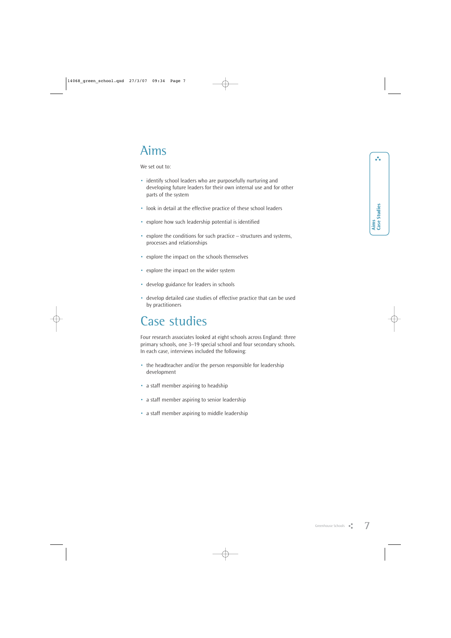$\ddot{\cdot}$ 

### Aims

We set out to:

- identify school leaders who are purposefully nurturing and developing future leaders for their own internal use and for other parts of the system
- look in detail at the effective practice of these school leaders
- explore how such leadership potential is identified
- explore the conditions for such practice structures and systems, processes and relationships
- explore the impact on the schools themselves
- explore the impact on the wider system
- develop guidance for leaders in schools
- develop detailed case studies of effective practice that can be used by practitioners

### Case studies

Four research associates looked at eight schools across England: three primary schools, one 3–19 special school and four secondary schools. In each case, interviews included the following:

- the headteacher and/or the person responsible for leadership development
- a staff member aspiring to headship
- a staff member aspiring to senior leadership
- a staff member aspiring to middle leadership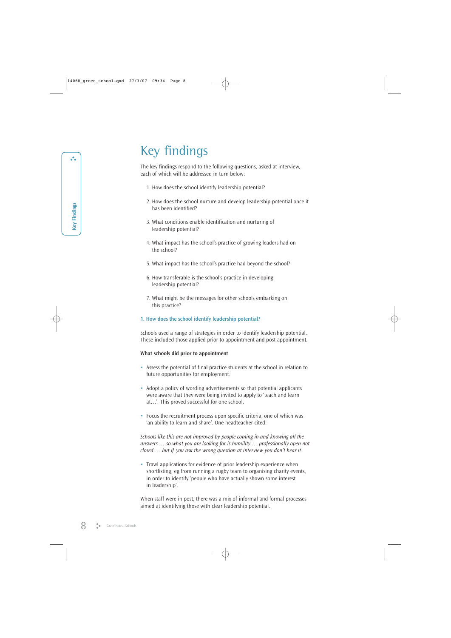### Key findings

The key findings respond to the following questions, asked at interview, each of which will be addressed in turn below:

- 1. How does the school identify leadership potential?
- 2. How does the school nurture and develop leadership potential once it has been identified?
- 3. What conditions enable identification and nurturing of leadership potential?
- 4. What impact has the school's practice of growing leaders had on the school?
- 5. What impact has the school's practice had beyond the school?
- 6. How transferable is the school's practice in developing leadership potential?
- 7. What might be the messages for other schools embarking on this practice?

#### **1. How does the school identify leadership potential?**

Schools used a range of strategies in order to identify leadership potential. These included those applied prior to appointment and post-appointment.

#### **What schools did prior to appointment**

- Assess the potential of final practice students at the school in relation to future opportunities for employment.
- Adopt a policy of wording advertisements so that potential applicants were aware that they were being invited to apply to 'teach and learn at…'. This proved successful for one school.
- Focus the recruitment process upon specific criteria, one of which was 'an ability to learn and share'. One headteacher cited:

*Schools like this are not improved by people coming in and knowing all the answers … so what you are looking for is humility … professionally open not closed … but if you ask the wrong question at interview you don't hear it.*

• Trawl applications for evidence of prior leadership experience when shortlisting, eg from running a rugby team to organising charity events, in order to identify 'people who have actually shown some interest in leadership'.

When staff were in post, there was a mix of informal and formal processes aimed at identifying those with clear leadership potential.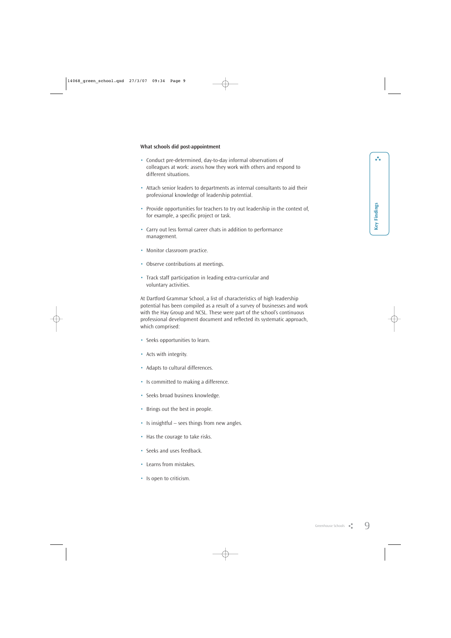- Conduct pre-determined, day-to-day informal observations of colleagues at work: assess how they work with others and respond to different situations.
- Attach senior leaders to departments as internal consultants to aid their professional knowledge of leadership potential.
- Provide opportunities for teachers to try out leadership in the context of, for example, a specific project or task.
- Carry out less formal career chats in addition to performance management.
- Monitor classroom practice.
- Observe contributions at meetings.

**What schools did post-appointment**

• Track staff participation in leading extra-curricular and voluntary activities.

At Dartford Grammar School, a list of characteristics of high leadership potential has been compiled as a result of a survey of businesses and work with the Hay Group and NCSL. These were part of the school's continuous professional development document and reflected its systematic approach, which comprised:

- Seeks opportunities to learn.
- Acts with integrity.
- Adapts to cultural differences.
- Is committed to making a difference.
- Seeks broad business knowledge.
- Brings out the best in people.
- Is insightful sees things from new angles.
- Has the courage to take risks.
- Seeks and uses feedback.
- Learns from mistakes.
- Is open to criticism.

 $\ddot{\bullet}$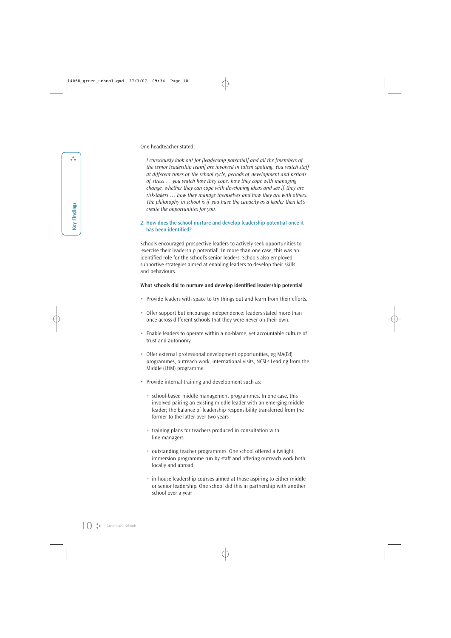One headteacher stated:

*I consciously look out for [leadership potential] and all the [members of the senior leadership team] are involved in talent spotting. You watch staff at different times of the school cycle, periods of development and periods of stress … you watch how they cope, how they cope with managing change, whether they can cope with developing ideas and see if they are risk-takers … how they manage themselves and how they are with others. The philosophy in school is if you have the capacity as a leader then let's create the opportunities for you.*

#### **2. How does the school nurture and develop leadership potential once it has been identified?**

Schools encouraged prospective leaders to actively seek opportunities to 'exercise their leadership potential'. In more than one case, this was an identified role for the school's senior leaders. Schools also employed supportive strategies aimed at enabling leaders to develop their skills and behaviours.

#### **What schools did to nurture and develop identified leadership potential**

- Provide leaders with space to try things out and learn from their efforts.
- Offer support but encourage independence: leaders stated more than once across different schools that they were never on their own.
- Enable leaders to operate within a no-blame, yet accountable culture of trust and autonomy.
- Offer external professional development opportunities, eg MA(Ed) programmes, outreach work, international visits, NCSLs Leading from the Middle (LftM) programme.
- Provide internal training and development such as:
	- school-based middle management programmes. In one case, this involved pairing an existing middle leader with an emerging middle leader; the balance of leadership responsibility transferred from the former to the latter over two years
	- training plans for teachers produced in consultation with line managers
	- outstanding teacher programmes. One school offered a twilight immersion programme run by staff and offering outreach work both locally and abroad
	- in-house leadership courses aimed at those aspiring to either middle or senior leadership. One school did this in partnership with another school over a year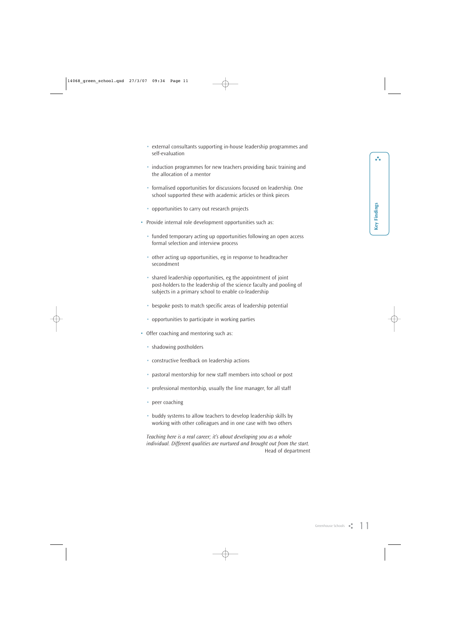å.

- external consultants supporting in-house leadership programmes and self-evaluation
- induction programmes for new teachers providing basic training and the allocation of a mentor
- formalised opportunities for discussions focused on leadership. One school supported these with academic articles or think pieces
- opportunities to carry out research projects
- Provide internal role development opportunities such as:
	- funded temporary acting up opportunities following an open access formal selection and interview process
	- other acting up opportunities, eg in response to headteacher secondment
	- shared leadership opportunities, eg the appointment of joint post-holders to the leadership of the science faculty and pooling of subjects in a primary school to enable co-leadership
	- bespoke posts to match specific areas of leadership potential
	- opportunities to participate in working parties
- Offer coaching and mentoring such as:
	- shadowing postholders
	- constructive feedback on leadership actions
	- pastoral mentorship for new staff members into school or post
	- professional mentorship, usually the line manager, for all staff
	- peer coaching
	- buddy systems to allow teachers to develop leadership skills by working with other colleagues and in one case with two others

*Teaching here is a real career; it's about developing you as a whole individual. Different qualities are nurtured and brought out from the start.* Head of department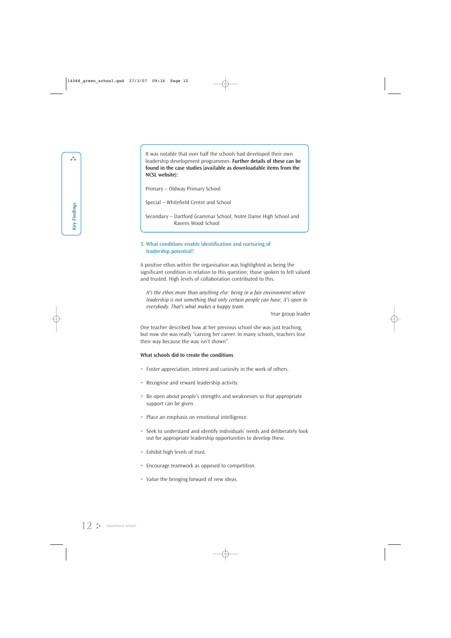It was notable that over half the schools had developed their own leadership development programmes. **Further details of these can be found in the case studies (available as downloadable items from the NCSL website):**

Primary – Oldway Primary School

Special – Whitefield Centre and School

Secondary – Dartford Grammar School, Notre Dame High School and Ravens Wood School

#### **3. What conditions enable identification and nurturing of leadership potential?**

A positive ethos within the organisation was highlighted as being the significant condition in relation to this question; those spoken to felt valued and trusted. High levels of collaboration contributed to this.

*It's the ethos more than anything else: being in a fair environment where leadership is not something that only certain people can have, it's open to everybody. That's what makes a happy team.*

Year group leader

One teacher described how at her previous school she was just teaching, but now she was really "carving her career. In many schools, teachers lose their way because the way isn't shown".

#### **What schools did to create the conditions**

- Foster appreciation, interest and curiosity in the work of others.
- Recognise and reward leadership activity.
- Be open about people's strengths and weaknesses so that appropriate support can be given.
- Place an emphasis on emotional intelligence.
- Seek to understand and identify individuals' needs and deliberately look out for appropriate leadership opportunities to develop these.
- Exhibit high levels of trust.
- Encourage teamwork as opposed to competition.
- Value the bringing forward of new ideas.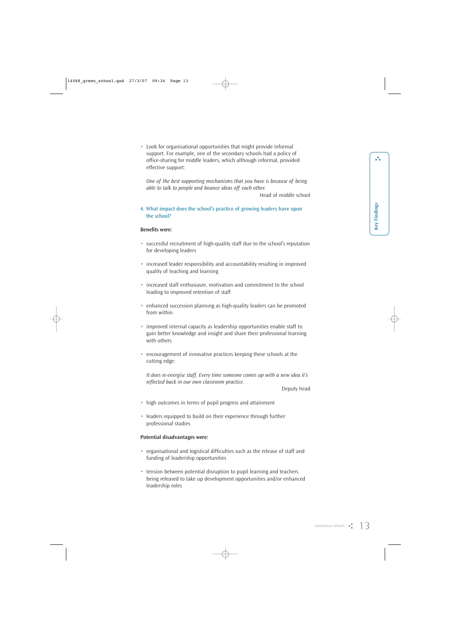• Look for organisational opportunities that might provide informal support. For example, one of the secondary schools had a policy of office-sharing for middle leaders, which although informal, provided effective support:

*One of the best supporting mechanisms that you have is because of being able to talk to people and bounce ideas off each other.*

Head of middle school

**4. What impact does the school's practice of growing leaders have upon the school?**

#### **Benefits were:**

- successful recruitment of high-quality staff due to the school's reputation for developing leaders
- increased leader responsibility and accountability resulting in improved quality of teaching and learning
- increased staff enthusiasm, motivation and commitment to the school leading to improved retention of staff
- enhanced succession planning as high-quality leaders can be promoted from within
- improved internal capacity as leadership opportunities enable staff to gain better knowledge and insight and share their professional learning with others
- encouragement of innovative practices keeping these schools at the cutting edge:

*It does re-energise staff. Every time someone comes up with a new idea it's reflected back in our own classroom practice.* 

Deputy head

- high outcomes in terms of pupil progress and attainment
- leaders equipped to build on their experience through further professional studies

#### **Potential disadvantages were:**

- organisational and logistical difficulties such as the release of staff and funding of leadership opportunities
- tension between potential disruption to pupil learning and teachers being released to take up development opportunities and/or enhanced leadership roles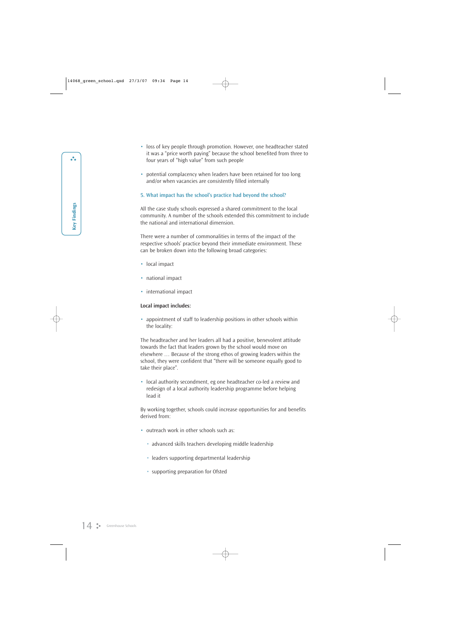- loss of key people through promotion. However, one headteacher stated it was a "price worth paying" because the school benefited from three to four years of "high value" from such people
- potential complacency when leaders have been retained for too long and/or when vacancies are consistently filled internally

#### **5. What impact has the school's practice had beyond the school?**

All the case study schools expressed a shared commitment to the local community. A number of the schools extended this commitment to include the national and international dimension.

There were a number of commonalities in terms of the impact of the respective schools' practice beyond their immediate environment. These can be broken down into the following broad categories:

- local impact
- national impact
- international impact

#### **Local impact includes:**

• appointment of staff to leadership positions in other schools within the locality:

The headteacher and her leaders all had a positive, benevolent attitude towards the fact that leaders grown by the school would move on elsewhere … Because of the strong ethos of growing leaders within the school, they were confident that "there will be someone equally good to take their place".

• local authority secondment, eg one headteacher co-led a review and redesign of a local authority leadership programme before helping lead it

By working together, schools could increase opportunities for and benefits derived from:

- outreach work in other schools such as:
	- advanced skills teachers developing middle leadership
	- leaders supporting departmental leadership
	- supporting preparation for Ofsted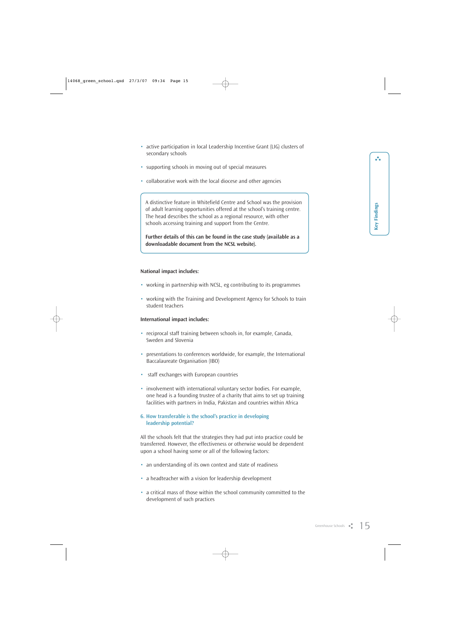å.

- active participation in local Leadership Incentive Grant (LIG) clusters of secondary schools
- supporting schools in moving out of special measures
- collaborative work with the local diocese and other agencies

A distinctive feature in Whitefield Centre and School was the provision of adult learning opportunities offered at the school's training centre. The head describes the school as a regional resource, with other schools accessing training and support from the Centre.

**Further details of this can be found in the case study (available as a downloadable document from the NCSL website).**

#### **National impact includes:**

- working in partnership with NCSL, eg contributing to its programmes
- working with the Training and Development Agency for Schools to train student teachers

#### **International impact includes:**

- reciprocal staff training between schools in, for example, Canada, Sweden and Slovenia
- presentations to conferences worldwide, for example, the International Baccalaureate Organisation (IBO)
- staff exchanges with European countries
- involvement with international voluntary sector bodies. For example, one head is a founding trustee of a charity that aims to set up training facilities with partners in India, Pakistan and countries within Africa

#### **6. How transferable is the school's practice in developing leadership potential?**

All the schools felt that the strategies they had put into practice could be transferred. However, the effectiveness or otherwise would be dependent upon a school having some or all of the following factors:

- an understanding of its own context and state of readiness
- a headteacher with a vision for leadership development
- a critical mass of those within the school community committed to the development of such practices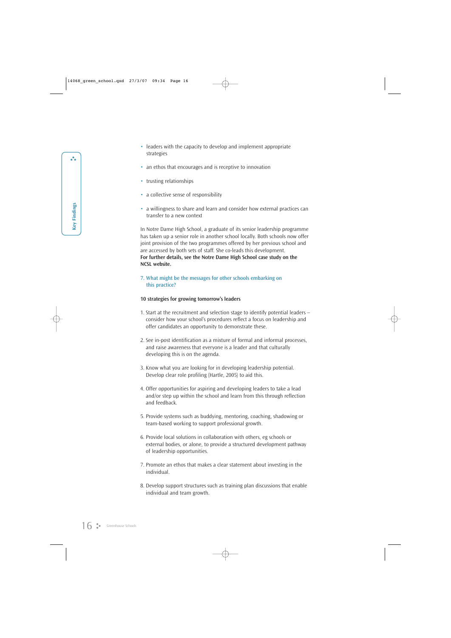- leaders with the capacity to develop and implement appropriate strategies
- an ethos that encourages and is receptive to innovation
- trusting relationships
- a collective sense of responsibility
- a willingness to share and learn and consider how external practices can transfer to a new context

In Notre Dame High School, a graduate of its senior leadership programme has taken up a senior role in another school locally. Both schools now offer joint provision of the two programmes offered by her previous school and are accessed by both sets of staff. She co-leads this development. **For further details, see the Notre Dame High School case study on the NCSL website.**

**7. What might be the messages for other schools embarking on this practice?**

#### **10 strategies for growing tomorrow's leaders**

- 1. Start at the recruitment and selection stage to identify potential leaders consider how your school's procedures reflect a focus on leadership and offer candidates an opportunity to demonstrate these.
- 2. See in-post identification as a mixture of formal and informal processes, and raise awareness that everyone is a leader and that culturally developing this is on the agenda.
- 3. Know what you are looking for in developing leadership potential. Develop clear role profiling (Hartle, 2005) to aid this.
- 4. Offer opportunities for aspiring and developing leaders to take a lead and/or step up within the school and learn from this through reflection and feedback.
- 5. Provide systems such as buddying, mentoring, coaching, shadowing or team-based working to support professional growth.
- 6. Provide local solutions in collaboration with others, eg schools or external bodies, or alone, to provide a structured development pathway of leadership opportunities.
- 7. Promote an ethos that makes a clear statement about investing in the individual.
- 8. Develop support structures such as training plan discussions that enable individual and team growth.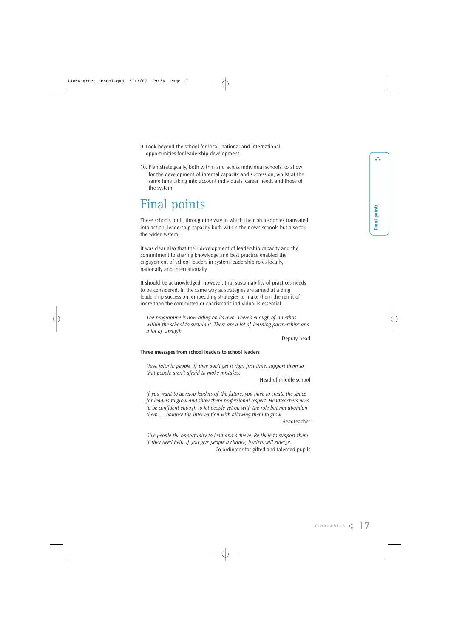- 9. Look beyond the school for local, national and international opportunities for leadership development.
- 10. Plan strategically, both within and across individual schools, to allow for the development of internal capacity and succession, whilst at the same time taking into account individuals' career needs and those of the system.

### Final points

These schools built, through the way in which their philosophies translated into action, leadership capacity both within their own schools but also for the wider system.

It was clear also that their development of leadership capacity and the commitment to sharing knowledge and best practice enabled the engagement of school leaders in system leadership roles locally, nationally and internationally.

It should be acknowledged, however, that sustainability of practices needs to be considered. In the same way as strategies are aimed at aiding leadership succession, embedding strategies to make them the remit of more than the committed or charismatic individual is essential.

*The programme is now riding on its own. There's enough of an ethos within the school to sustain it. There are a lot of learning partnerships and a lot of strength.*

Deputy head

#### **Three messages from school leaders to school leaders**

*Have faith in people. If they don't get it right first time, support them so that people aren't afraid to make mistakes.*

Head of middle school

*If you want to develop leaders of the future, you have to create the space for leaders to grow and show them professional respect. Headteachers need to be confident enough to let people get on with the role but not abandon them … balance the intervention with allowing them to grow.*

Headteacher

*Give people the opportunity to lead and achieve. Be there to support them if they need help. If you give people a chance, leaders will emerge.* Co-ordinator for gifted and talented pupils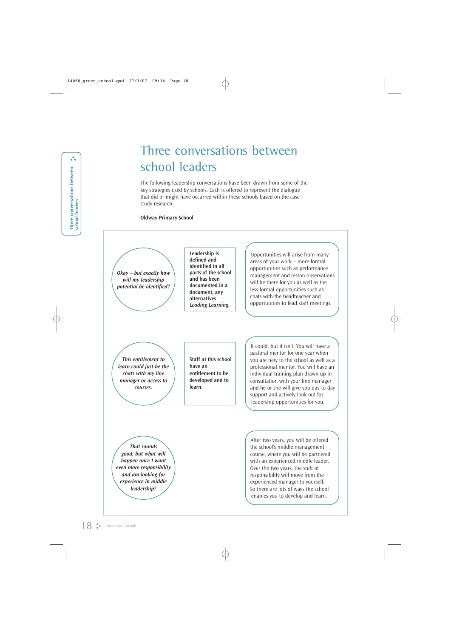### Three conversations between school leaders

The following leadership conversations have been drawn from some of the key strategies used by schools. Each is offered to represent the dialogue that did or might have occurred within these schools based on the case study research.

#### **Oldway Primary School**

*Okay – but exactly how will my leadership potential be identified?*

**Leadership is defined and identified in all parts of the school and has been documented in a document, any alternatives L***eading Learning.* 

Opportunities will arise from many areas of your work – more formal opportunities such as performance management and lesson observations will be there for you as well as the less formal opportunities such as chats with the headteacher and opportunities to lead staff meetings.

*This entitlement to learn could just be the chats with my line manager or access to courses.*

**Staff at this school have an entitlement to be developed and to learn.**

It could, but it isn't. You will have a pastoral mentor for one year when you are new to the school as well as a professional mentor. You will have an individual training plan drawn up in consultation with your line manager and he or she will give you day-to-day support and actively look out for leadership opportunities for you.

*That sounds good, but what will happen once I want even more responsibility and am looking for experience in middle leadership?*

After two years, you will be offered the school's middle management course, where you will be partnered with an experienced middle leader. Over the two years, the shift of responsibility will move from the experienced manager to yourself. So there are lots of ways the school enables you to develop and learn.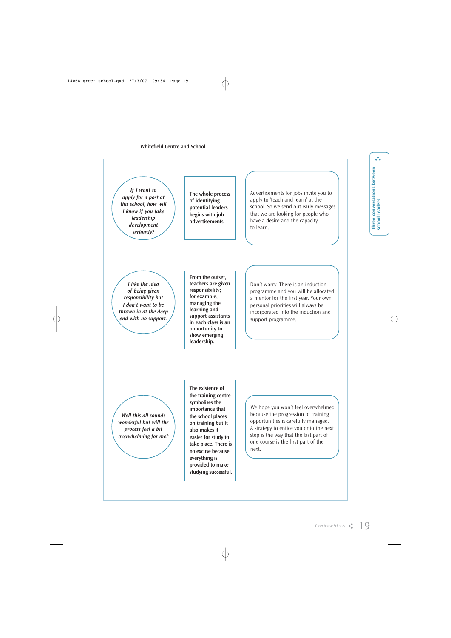*If I want to apply for a post at this school, how will I know if you take leadership development seriously?*

**The whole process of identifying potential leaders begins with job advertisements.**

Advertisements for jobs invite you to apply to 'teach and learn' at the school. So we send out early messages that we are looking for people who have a desire and the capacity to learn.

*I like the idea of being given responsibility but I don't want to be thrown in at the deep end with no support.*

**From the outset, teachers are given responsibility; for example, managing the learning and support assistants in each class is an opportunity to show emerging leadership.**

Don't worry. There is an induction programme and you will be allocated a mentor for the first year. Your own personal priorities will always be incorporated into the induction and support programme.

*Well this all sounds wonderful but will the process feel a bit overwhelming for me?*

**The existence of the training centre symbolises the importance that the school places on training but it also makes it easier for study to take place. There is no excuse because everything is provided to make studying successful.**

We hope you won't feel overwhelmed because the progression of training opportunities is carefully managed. A strategy to entice you onto the next step is the way that the last part of one course is the first part of the next.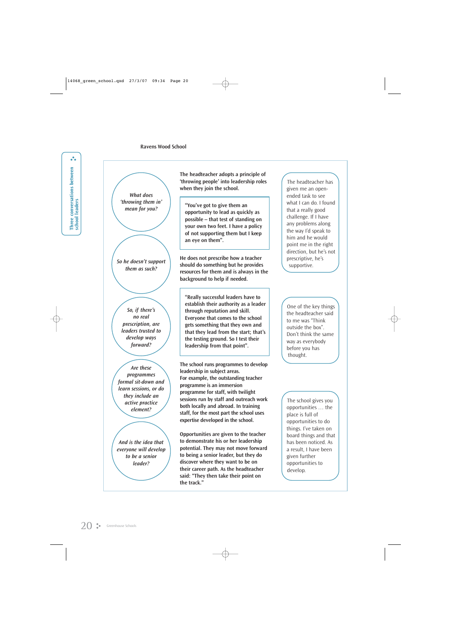*What does 'throwing them in' mean for you?*

*So he doesn't support them as such?*

*So, if there's no real prescription, are leaders trusted to develop ways forward?*

*Are these programmes formal sit-down and learn sessions, or do they include an active practice element?*

*And is the idea that everyone will develop to be a senior leader?*

**The headteacher adopts a principle of 'throwing people' into leadership roles when they join the school.** 

**"You've got to give them an opportunity to lead as quickly as possible – that test of standing on your own two feet. I have a policy of not supporting them but I keep an eye on them".**

**He does not prescribe how a teacher should do something but he provides resources for them and is always in the background to help if needed.**

**"Really successful leaders have to establish their authority as a leader through reputation and skill. Everyone that comes to the school gets something that they own and that they lead from the start; that's the testing ground. So I test their leadership from that point".**

**The school runs programmes to develop leadership in subject areas. For example, the outstanding teacher programme is an immersion programme for staff, with twilight sessions run by staff and outreach work both locally and abroad. In training staff, for the most part the school uses expertise developed in the school.**

**Opportunities are given to the teacher to demonstrate his or her leadership potential. They may not move forward to being a senior leader, but they do discover where they want to be on their career path. As the headteacher said: "They then take their point on the track."**

The headteacher has given me an openended task to see what I can do. I found that a really good challenge. If I have any problems along the way I'd speak to him and he would point me in the right direction, but he's not prescriptive, he's supportive.

One of the key things the headteacher said to me was "Think outside the box". Don't think the same way as everybody before you has thought.

The school gives you opportunities … the place is full of opportunities to do things. I've taken on board things and that has been noticed. As a result, I have been given further opportunities to develop.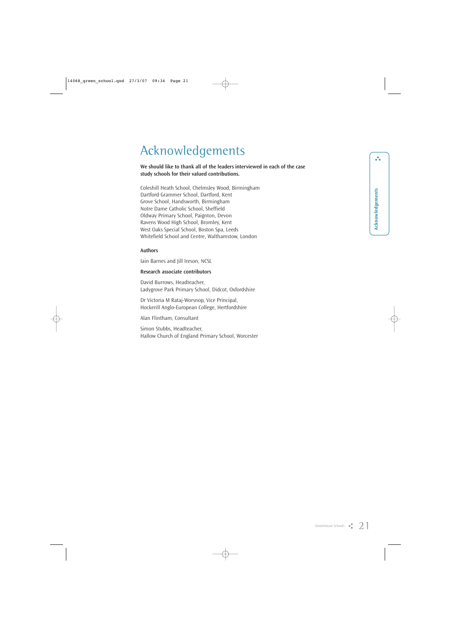## Acknowledgements

#### **We should like to thank all of the leaders interviewed in each of the case study schools for their valued contributions.**

Coleshill Heath School, Chelmsley Wood, Birmingham Dartford Grammer School, Dartford, Kent Grove School, Handsworth, Birmingham Notre Dame Catholic School, Sheffield Oldway Primary School, Paignton, Devon Ravens Wood High School, Bromley, Kent West Oaks Special School, Boston Spa, Leeds Whitefield School and Centre, Walthamstow, London

#### **Authors**

Iain Barnes and Jill Ireson, NCSL

#### **Research associate contributors**

David Burrows, Headteacher, Ladygrove Park Primary School, Didcot, Oxfordshire

Dr Victoria M Rataj-Worsnop, Vice Principal, Hockerill Anglo-European College, Hertfordshire

Alan Flintham, Consultant

Simon Stubbs, Headteacher, Hallow Church of England Primary School, Worcester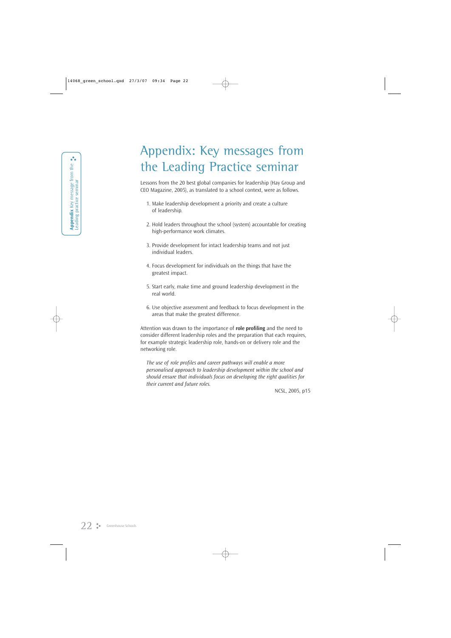## Appendix: Key messages from the Leading Practice seminar

Lessons from the 20 best global companies for leadership (Hay Group and CEO Magazine, 2005), as translated to a school context, were as follows.

- 1. Make leadership development a priority and create a culture of leadership.
- 2. Hold leaders throughout the school (system) accountable for creating high-performance work climates.
- 3. Provide development for intact leadership teams and not just individual leaders.
- 4. Focus development for individuals on the things that have the greatest impact.
- 5. Start early, make time and ground leadership development in the real world.
- 6. Use objective assessment and feedback to focus development in the areas that make the greatest difference.

Attention was drawn to the importance of **role profiling** and the need to consider different leadership roles and the preparation that each requires, for example strategic leadership role, hands-on or delivery role and the networking role.

*The use of role profiles and career pathways will enable a more personalised approach to leadership development within the school and should ensure that individuals focus on developing the right qualities for their current and future roles.*

NCSL, 2005, p15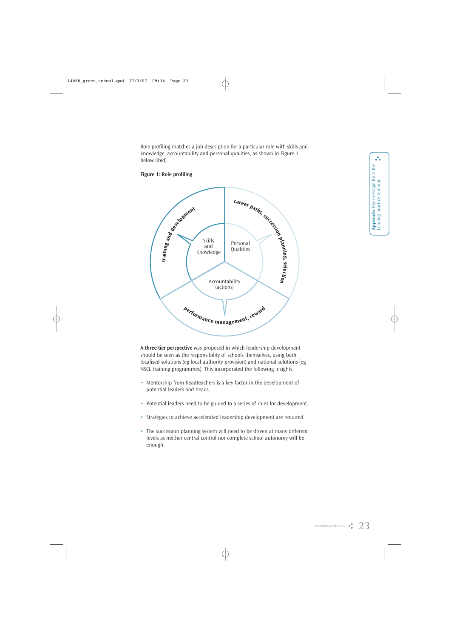Role profiling matches a job description for a particular role with skills and knowledge, accountability and personal qualities, as shown in Figure 1 below (ibid).



#### **Figure 1: Role profiling**

**A three-tier perspective** was proposed in which leadership development should be seen as the responsibility of schools themselves, using both localised solutions (eg local authority provision) and national solutions (eg NSCL training programmes). This incorporated the following insights.

- Mentorship from headteachers is a key factor in the development of potential leaders and heads.
- Potential leaders need to be guided to a series of roles for development.
- Strategies to achieve accelerated leadership development are required.
- The succession planning system will need to be driven at many different levels as neither central control nor complete school autonomy will be enough.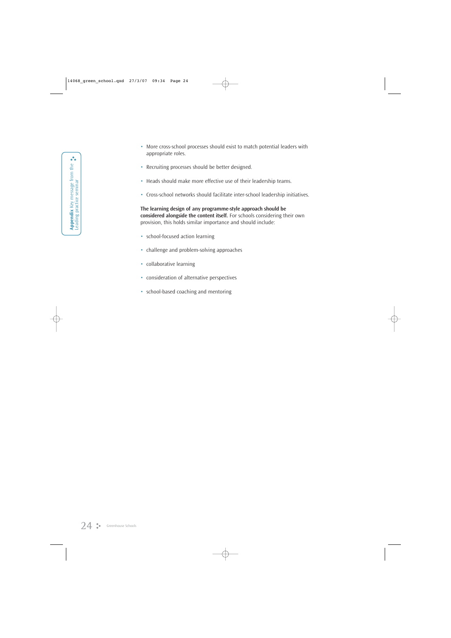- More cross-school processes should exist to match potential leaders with appropriate roles.
- Recruiting processes should be better designed.
- Heads should make more effective use of their leadership teams.
- Cross-school networks should facilitate inter-school leadership initiatives.

**The learning design of any programme-style approach should be considered alongside the content itself.** For schools considering their own provision, this holds similar importance and should include:

- school-focused action learning
- challenge and problem-solving approaches
- collaborative learning
- consideration of alternative perspectives
- school-based coaching and mentoring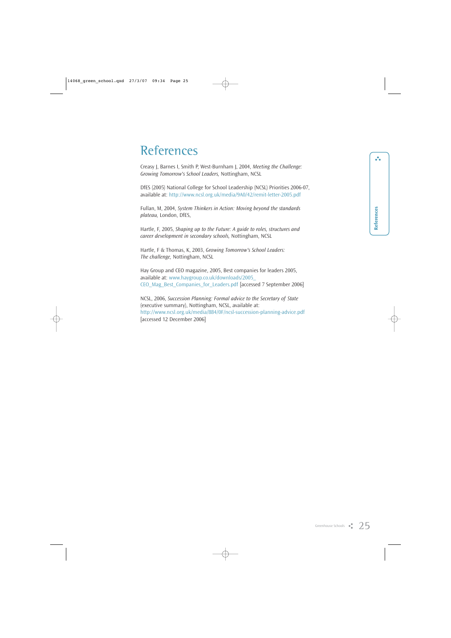### References

Creasy J, Barnes I, Smith P, West-Burnham J, 2004, *Meeting the Challenge: Growing Tomorrow's School Leaders,* Nottingham, NCSL

DfES (2005) National College for School Leadership (NCSL) Priorities 2006-07, available at: http://www.ncsl.org.uk/media/9A0/42/remit-letter-2005.pdf

Fullan, M, 2004, *System Thinkers in Action: Moving beyond the standards plateau,* London, DfES,

Hartle, F, 2005, *Shaping up to the Future: A guide to roles, structures and career development in secondary schools,* Nottingham, NCSL

Hartle, F & Thomas, K, 2003, *Growing Tomorrow's School Leaders: The challenge,* Nottingham, NCSL

Hay Group and CEO magazine, 2005, Best companies for leaders 2005, available at: www.haygroup.co.uk/downloads/2005\_ CEO\_Mag\_Best\_Companies\_for\_Leaders.pdf [accessed 7 September 2006]

NCSL, 2006, *Succession Planning: Formal advice to the Secretary of State* (executive summary), Nottingham, NCSL, available at: http://www.ncsl.org.uk/media/884/0F/ncsl-succession-planning-advice.pdf [accessed 12 December 2006]